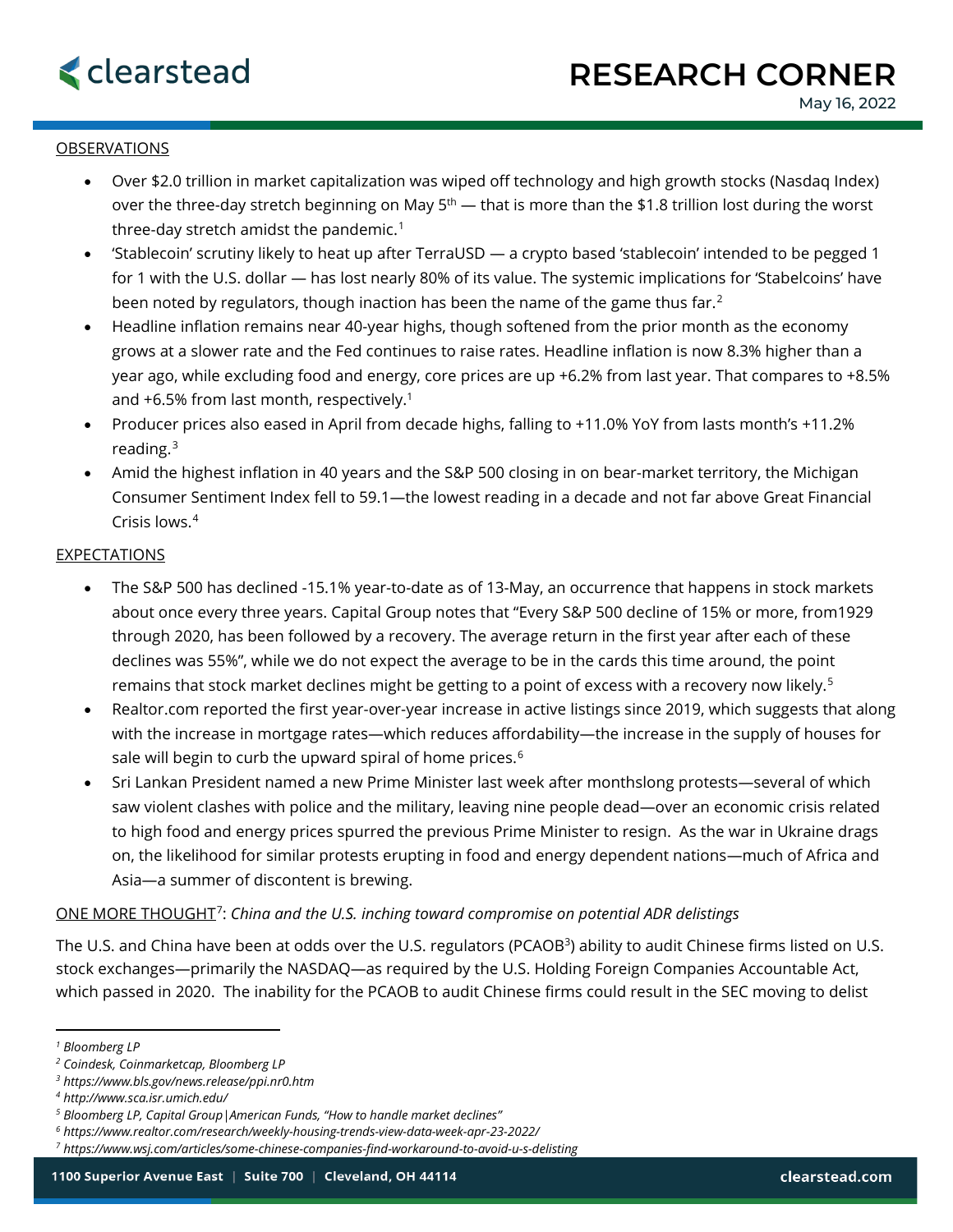## OBSERVATIONS

- Over \$2.0 trillion in market capitalization was wiped off technology and high growth stocks (Nasdaq Index) over the three-day stretch beginning on May  $5<sup>th</sup>$  — that is more than the \$1.8 trillion lost during the worst three-day stretch amidst the pandemic.<sup>[1](#page-0-0)</sup>
- 'Stablecoin' scrutiny likely to heat up after TerraUSD a crypto based 'stablecoin' intended to be pegged 1 for 1 with the U.S. dollar — has lost nearly 80% of its value. The systemic implications for 'Stabelcoins' have been noted by regulators, though inaction has been the name of the game thus far. [2](#page-0-1)
- Headline inflation remains near 40-year highs, though softened from the prior month as the economy grows at a slower rate and the Fed continues to raise rates. Headline inflation is now 8.3% higher than a year ago, while excluding food and energy, core prices are up +6.2% from last year. That compares to +8.5% and +6.5% from last month, respectively.1
- Producer prices also eased in April from decade highs, falling to +11.0% YoY from lasts month's +11.2% reading.[3](#page-0-2)
- Amid the highest inflation in 40 years and the S&P 500 closing in on bear-market territory, the Michigan Consumer Sentiment Index fell to 59.1—the lowest reading in a decade and not far above Great Financial Crisis lows. [4](#page-0-3)

## **EXPECTATIONS**

- The S&P 500 has declined -15.1% year-to-date as of 13-May, an occurrence that happens in stock markets about once every three years. Capital Group notes that "Every S&P 500 decline of 15% or more, from1929 through 2020, has been followed by a recovery. The average return in the first year after each of these declines was 55%", while we do not expect the average to be in the cards this time around, the point remains that stock market declines might be getting to a point of excess with a recovery now likely.<sup>[5](#page-0-4)</sup>
- Realtor.com reported the first year-over-year increase in active listings since 2019, which suggests that along with the increase in mortgage rates—which reduces affordability—the increase in the supply of houses for sale will begin to curb the upward spiral of home prices.<sup>[6](#page-0-5)</sup>
- Sri Lankan President named a new Prime Minister last week after monthslong protests—several of which saw violent clashes with police and the military, leaving nine people dead—over an economic crisis related to high food and energy prices spurred the previous Prime Minister to resign. As the war in Ukraine drags on, the likelihood for similar protests erupting in food and energy dependent nations—much of Africa and Asia—a summer of discontent is brewing.

## ONE MORE THOUGHT[7](#page-0-6): *China and the U.S. inching toward compromise on potential ADR delistings*

The U.S. and China have been at odds over the U.S. regulators (PCAOB<sup>3</sup>) ability to audit Chinese firms listed on U.S. stock exchanges—primarily the NASDAQ—as required by the U.S. Holding Foreign Companies Accountable Act, which passed in 2020. The inability for the PCAOB to audit Chinese firms could result in the SEC moving to delist

<span id="page-0-0"></span>*<sup>1</sup> Bloomberg LP*

<span id="page-0-1"></span>*<sup>2</sup> Coindesk, Coinmarketcap, Bloomberg LP*

<span id="page-0-2"></span>*<sup>3</sup> https://www.bls.gov/news.release/ppi.nr0.htm*

<span id="page-0-3"></span>*<sup>4</sup> http://www.sca.isr.umich.edu/*

<span id="page-0-4"></span>*<sup>5</sup> Bloomberg LP, Capital Group|American Funds, "How to handle market declines"*

<span id="page-0-5"></span>*<sup>6</sup> https://www.realtor.com/research/weekly-housing-trends-view-data-week-apr-23-2022/*

<span id="page-0-6"></span>*<sup>7</sup> https://www.wsj.com/articles/some-chinese-companies-find-workaround-to-avoid-u-s-delisting*